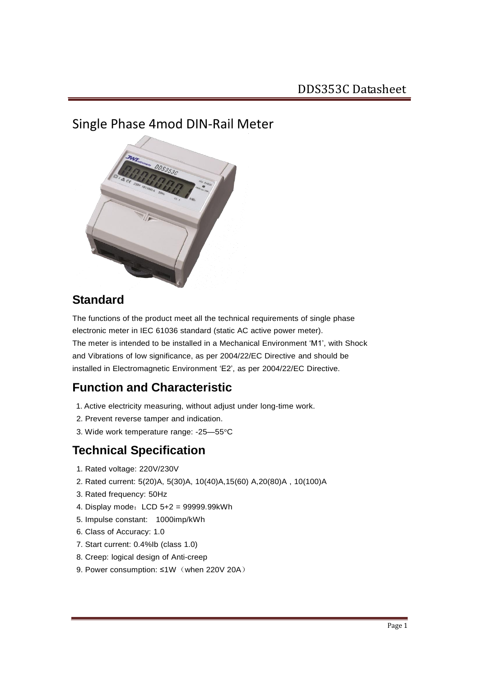## Single Phase 4mod DIN-Rail Meter



## **Standard**

The functions of the product meet all the technical requirements of single phase electronic meter in IEC 61036 standard (static AC active power meter). The meter is intended to be installed in a Mechanical Environment 'M1', with Shock and Vibrations of low significance, as per 2004/22/EC Directive and should be installed in Electromagnetic Environment 'E2', as per 2004/22/EC Directive.

## **Function and Characteristic**

- 1. Active electricity measuring, without adjust under long-time work.
- 2. Prevent reverse tamper and indication.
- 3. Wide work temperature range: -25—55°C

### **Technical Specification**

- 1. Rated voltage: 220V/230V
- 2. Rated current: 5(20)A, 5(30)A, 10(40)A,15(60) A,20(80)A , 10(100)A
- 3. Rated frequency: 50Hz
- 4. Display mode: LCD 5+2 = 99999.99kWh
- 5. Impulse constant: 1000imp/kWh
- 6. Class of Accuracy: 1.0
- 7. Start current: 0.4%Ib (class 1.0)
- 8. Creep: logical design of Anti-creep
- 9. Power consumption: ≤1W (when 220V 20A)